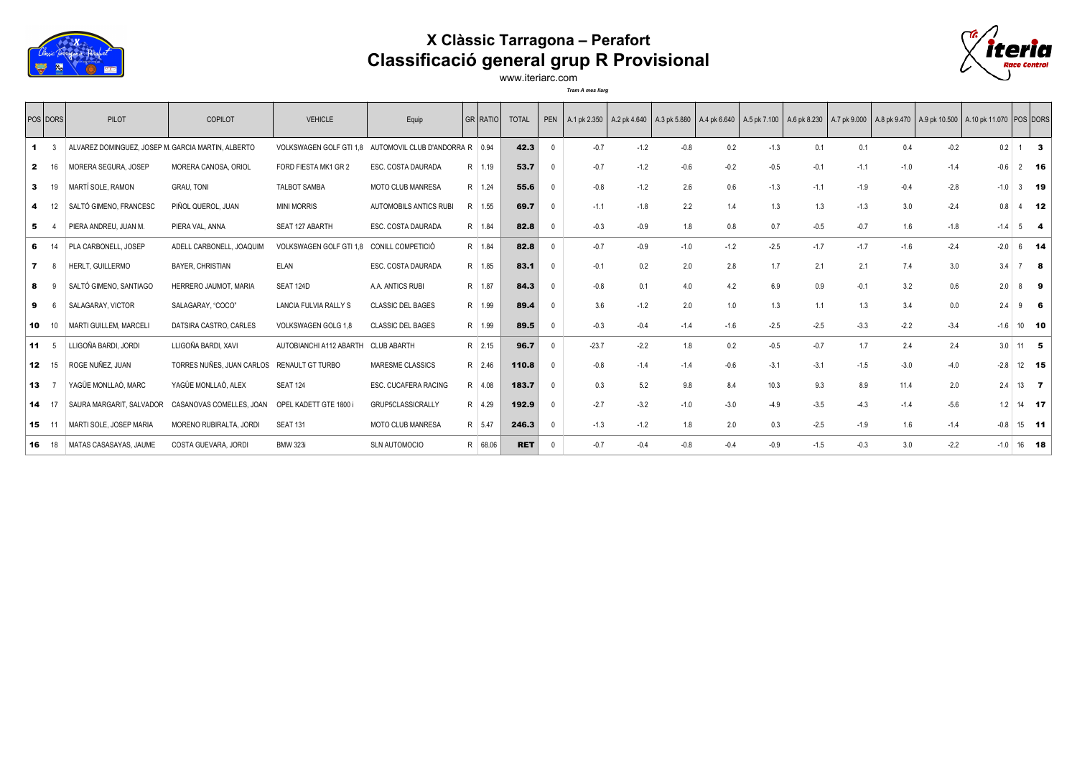

## **X Clàssic Tarragona – Perafort Classificació general grup R Provisional**



www.iteriarc.com *Tram A mes llarg*

|              | POS DORS  | PILOT                                              | COPILOT                   | <b>VEHICLE</b>          | Equip                             | GR   RATIO | <b>TOTAL</b> | PEN          |         |        |        |        |        |        |        |        | A.1 pk 2.350 A.2 pk 4.640 A.3 pk 5.880 A.4 pk 6.640 A.5 pk 7.100 A.6 pk 8.230 A.7 pk 9.000 A.8 pk 9.470 A.9 pk 10.500 A.10 pk 11.070 POS DORS |        |              |                             |    |
|--------------|-----------|----------------------------------------------------|---------------------------|-------------------------|-----------------------------------|------------|--------------|--------------|---------|--------|--------|--------|--------|--------|--------|--------|-----------------------------------------------------------------------------------------------------------------------------------------------|--------|--------------|-----------------------------|----|
|              |           | ALVAREZ DOMINGUEZ, JOSEP M. GARCIA MARTIN, ALBERTO |                           | VOLKSWAGEN GOLF GTI 1,8 | AUTOMOVIL CLUB D'ANDORRA R   0.94 |            | 42.3         | $\Omega$     | $-0.7$  | $-1.2$ | $-0.8$ | 0.2    | $-1.3$ | 0.1    | 0.1    | 0.4    | $-0.2$                                                                                                                                        | 0.2    |              | $1 \quad 3$                 |    |
| $\mathbf{z}$ |           | MORERA SEGURA, JOSEP                               | MORERA CANOSA, ORIOL      | FORD FIESTA MK1 GR 2    | ESC. COSTA DAURADA                | R 1.19     | 53.7         | $\Omega$     | $-0.7$  | $-1.2$ | $-0.6$ | $-0.2$ | $-0.5$ | $-0.1$ | $-1.1$ | $-1.0$ | $-1.4$                                                                                                                                        | $-0.6$ |              | $2$ 16                      |    |
| 3            |           | MARTÍ SOLE, RAMON                                  | <b>GRAU, TONI</b>         | <b>TALBOT SAMBA</b>     | <b>MOTO CLUB MANRESA</b>          | R 1.24     | 55.6         | $\Omega$     | $-0.8$  | $-1.2$ | 2.6    | 0.6    | $-1.3$ | $-1.1$ | $-1.9$ | $-0.4$ | $-2.8$                                                                                                                                        | $-1.0$ |              | $3$ 19                      |    |
|              |           | SALTÓ GIMENO, FRANCESC                             | PIÑOL QUEROL, JUAN        | <b>MINI MORRIS</b>      | <b>AUTOMOBILS ANTICS RUBI</b>     | R 1.55     | 69.7         | $\Omega$     | $-1.1$  | $-1.8$ | 2.2    | 1.4    | 1.3    | 1.3    | $-1.3$ | 3.0    | $-2.4$                                                                                                                                        | 0.8    |              | $4$ 12                      |    |
|              |           | PIERA ANDREU. JUAN M.                              | PIERA VAL, ANNA           | SEAT 127 ABARTH         | ESC. COSTA DAURADA                | R 1.84     | 82.8         | $\Omega$     | $-0.3$  | $-0.9$ | 1.8    | 0.8    | 0.7    | $-0.5$ | $-0.7$ | 1.6    | $-1.8$                                                                                                                                        | $-1.4$ | $5^{\circ}$  |                             | -4 |
| 6            |           | PLA CARBONELL. JOSEP                               | ADELL CARBONELL. JOAQUIM  | VOLKSWAGEN GOLF GTI 1.8 | CONILL COMPETICIÓ                 | R 1.84     | 82.8         | $\mathsf{O}$ | $-0.7$  | $-0.9$ | $-1.0$ | $-1.2$ | $-2.5$ | $-1.7$ | $-1.7$ | $-1.6$ | $-2.4$                                                                                                                                        | $-2.0$ |              | $6$ 14                      |    |
|              |           | HERLT. GUILLERMO                                   | <b>BAYER, CHRISTIAN</b>   | ELAN                    | ESC. COSTA DAURADA                | R 1.85     | 83.1         | $\Omega$     | $-0.1$  | 0.2    | 2.0    | 2.8    | 1.7    | 2.1    | 2.1    | 7.4    | 3.0                                                                                                                                           | 3.4    |              | 7 8                         |    |
|              |           | SALTÓ GIMENO, SANTIAGO                             | HERRERO JAUMOT, MARIA     | SEAT 124D               | A.A. ANTICS RUBI                  | R 1.87     | 84.3         | $\Omega$     | $-0.8$  | 0.1    | 4.0    | 4.2    | 6.9    | 0.9    | $-0.1$ | 3.2    | 0.6                                                                                                                                           | 2.0    | 8            |                             | 9  |
| 9            |           | SALAGARAY, VICTOR                                  | SALAGARAY, "COCO"         | LANCIA FULVIA RALLY S   | <b>CLASSIC DEL BAGES</b>          | R 1.99     | 89.4         | $\Omega$     | 3.6     | $-1.2$ | 2.0    | 1.0    | 1.3    | 1.1    | 1.3    | 3.4    | 0.0                                                                                                                                           | 2.4    | 9            |                             | -6 |
| 10           | 10        | MARTI GUILLEM, MARCELI                             | DATSIRA CASTRO, CARLES    | VOLKSWAGEN GOLG 1,8     | <b>CLASSIC DEL BAGES</b>          | R 1.99     | 89.5         | $\Omega$     | $-0.3$  | $-0.4$ | $-1.4$ | $-1.6$ | $-2.5$ | $-2.5$ | $-3.3$ | $-2.2$ | $-3.4$                                                                                                                                        |        | $-1.6$ 10 10 |                             |    |
|              | $11 \t 5$ | LLIGOÑA BARDI, JORDI                               | LLIGOÑA BARDI, XAVI       | AUTOBIANCHI A112 ABARTH | <b>CLUB ABARTH</b>                | R 2.15     | 96.7         | $\Omega$     | $-23.7$ | $-2.2$ | 1.8    | 0.2    | $-0.5$ | $-0.7$ | 1.7    | 2.4    | 2.4                                                                                                                                           | 3.0    |              | $11$ 5                      |    |
|              | 12 15     | ROGE NUÑEZ, JUAN                                   | TORRES NUÑES, JUAN CARLOS | RENAULT GT TURBO        | MARESME CLASSICS                  | R 2.46     | 110.8        | $\Omega$     | $-0.8$  | $-1.4$ | $-1.4$ | $-0.6$ | $-3.1$ | $-3.1$ | $-1.5$ | $-3.0$ | $-4.0$                                                                                                                                        | $-2.8$ |              | $12$ 15                     |    |
| 13           |           | YAGÜE MONLLAÓ, MARC                                | YAGÜE MONLLAÓ, ALEX       | <b>SEAT 124</b>         | ESC. CUCAFERA RACING              | R 4.08     | 183.7        | $\Omega$     | 0.3     | 5.2    | 9.8    | 8.4    | 10.3   | 9.3    | 8.9    | 11.4   | 2.0                                                                                                                                           | 2.4    |              | $13 \overline{\phantom{1}}$ |    |
| 14           |           | SAURA MARGARIT, SALVADOR                           | CASANOVAS COMELLES, JOAN  | OPEL KADETT GTE 1800    | GRUP5CLASSICRALLY                 | R 4.29     | 192.9        | $\Omega$     | $-2.7$  | $-3.2$ | $-1.0$ | $-3.0$ | $-4.9$ | $-3.5$ | $-4.3$ | $-1.4$ | $-5.6$                                                                                                                                        | 1.2    |              | $14$ 17                     |    |
| 15           |           | MARTI SOLE, JOSEP MARIA                            | MORENO RUBIRALTA, JORDI   | <b>SEAT 131</b>         | <b>MOTO CLUB MANRESA</b>          | R 5.47     | 246.3        | $\Omega$     | $-1.3$  | $-1.2$ | 1.8    | 2.0    | 0.3    | $-2.5$ | $-1.9$ | 1.6    | $-1.4$                                                                                                                                        | $-0.8$ |              | $15$ 11                     |    |
| 16           | - 18      | MATAS CASASAYAS, JAUME                             | COSTA GUEVARA, JORDI      | <b>BMW 323i</b>         | <b>SLN AUTOMOCIO</b>              | R 68.06    | <b>RET</b>   | $\Omega$     | $-0.7$  | $-0.4$ | $-0.8$ | $-0.4$ | $-0.9$ | $-1.5$ | $-0.3$ | 3.0    | $-2.2$                                                                                                                                        |        | $-1.0$ 16 18 |                             |    |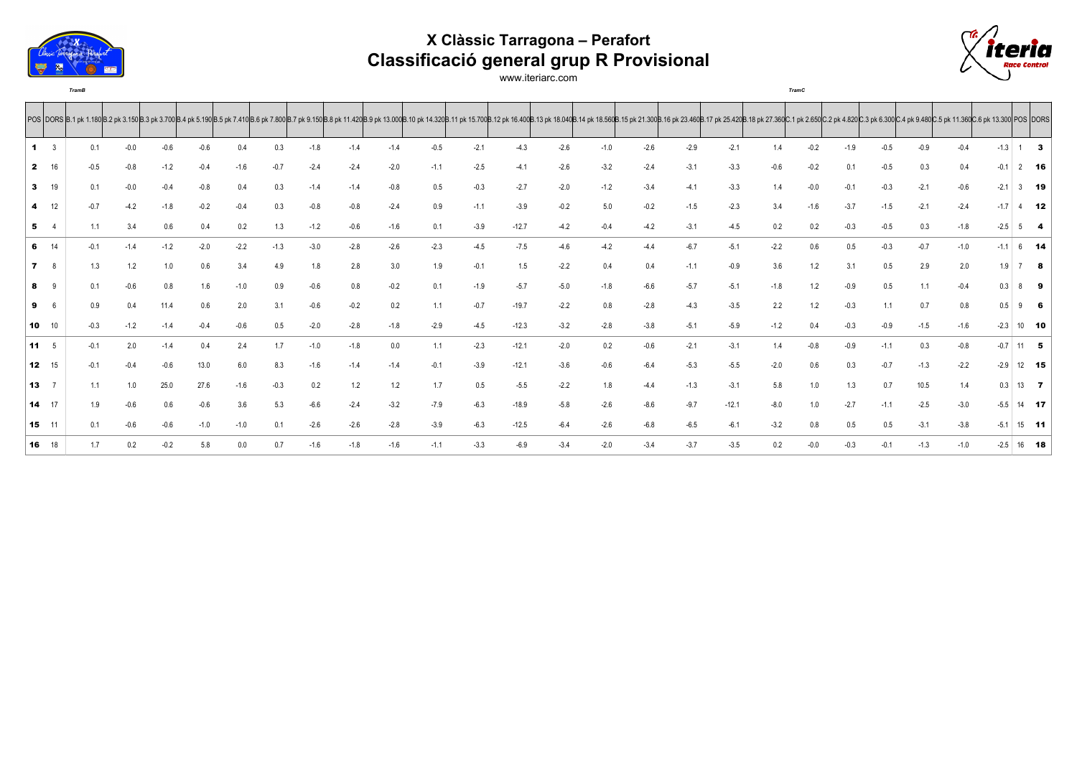

## **X Clàssic Tarragona – Perafort Classificació general grup R Provisional**



www.iteriarc.com

*TramB TramC*

|              |              |        |        |        |        |        |        |        | POS  DORS  B.1 pk 1.180 B.2 pk 3.150 B.3 pk 3.700 B.3 pk 3.700 B.4 pk 3.100 B.3 pk 7.410 B.5 pk 7.410 B.6 pk 7.410 B.6 pk 7.800 B.7 pk 9.150 B.8 pk 11.420 B.9 pk 11.300 B.11 pk 15.700 B.11 pk 15.700 B.11 pk 16.400 B.13 pk |        |        |        |         |        |        |        |        |         |        |        |        |        |        |        |        |              |              |
|--------------|--------------|--------|--------|--------|--------|--------|--------|--------|-------------------------------------------------------------------------------------------------------------------------------------------------------------------------------------------------------------------------------|--------|--------|--------|---------|--------|--------|--------|--------|---------|--------|--------|--------|--------|--------|--------|--------|--------------|--------------|
|              | -3           | 0.1    | $-0.0$ | $-0.6$ | $-0.6$ | 0.4    | 0.3    | $-1.8$ | $-1.4$                                                                                                                                                                                                                        | $-1.4$ | $-0.5$ | $-2.1$ | $-4.3$  | $-2.6$ | $-1.0$ | $-2.6$ | $-2.9$ | $-2.1$  | 1.4    | $-0.2$ | $-1.9$ | $-0.5$ | $-0.9$ | $-0.4$ | $-1.3$ |              | $1 \quad 3$  |
| $\mathbf{2}$ | 16           | $-0.5$ | $-0.8$ | $-1.2$ | $-0.4$ | $-1.6$ | $-0.7$ | $-2.4$ | $-2.4$                                                                                                                                                                                                                        | $-2.0$ | $-1.1$ | $-2.5$ | $-4.1$  | $-2.6$ | $-3.2$ | $-2.4$ | $-3.1$ | $-3.3$  | $-0.6$ | $-0.2$ | 0.1    | $-0.5$ | 0.3    | 0.4    | $-0.1$ |              | $2$ 16       |
| $\mathbf{3}$ | 19           | 0.1    | $-0.0$ | $-0.4$ | $-0.8$ | 0.4    | 0.3    | $-1.4$ | $-1.4$                                                                                                                                                                                                                        | $-0.8$ | 0.5    | $-0.3$ | $-2.7$  | $-2.0$ | $-1.2$ | $-3.4$ | $-4.1$ | $-3.3$  | 1.4    | $-0.0$ | $-0.1$ | $-0.3$ | $-2.1$ | $-0.6$ | $-2.1$ |              | $3$ 19       |
|              | 4 12         | $-0.7$ | $-4.2$ | $-1.8$ | $-0.2$ | $-0.4$ | 0.3    | $-0.8$ | $-0.8$                                                                                                                                                                                                                        | $-2.4$ | 0.9    | $-1.1$ | $-3.9$  | $-0.2$ | 5.0    | $-0.2$ | $-1.5$ | $-2.3$  | 3.4    | $-1.6$ | $-3.7$ | $-1.5$ | $-2.1$ | $-2.4$ | $-1.7$ |              | $4$ 12       |
|              | 54           | 1.1    | 3.4    | 0.6    | 0.4    | 0.2    | 1.3    | $-1.2$ | $-0.6$                                                                                                                                                                                                                        | $-1.6$ | 0.1    | $-3.9$ | $-12.7$ | $-4.2$ | $-0.4$ | $-4.2$ | $-3.1$ | $-4.5$  | 0.2    | 0.2    | $-0.3$ | $-0.5$ | 0.3    | $-1.8$ | $-2.5$ |              | $5$ 4        |
|              | 6 14         | $-0.1$ | $-1.4$ | $-1.2$ | $-2.0$ | $-2.2$ | $-1.3$ | $-3.0$ | $-2.8$                                                                                                                                                                                                                        | $-2.6$ | $-2.3$ | $-4.5$ | $-7.5$  | $-4.6$ | $-4.2$ | $-4.4$ | $-6.7$ | $-5.1$  | $-2.2$ | 0.6    | 0.5    | $-0.3$ | $-0.7$ | $-1.0$ | $-1.1$ |              | $6$ 14       |
|              | $7 \t 8$     | 1.3    | 1.2    | 1.0    | 0.6    | 3.4    | 4.9    | 1.8    | 2.8                                                                                                                                                                                                                           | 3.0    | 1.9    | $-0.1$ | 1.5     | $-2.2$ | 0.4    | 0.4    | $-1.1$ | $-0.9$  | 3.6    | 1.2    | 3.1    | 0.5    | 2.9    | 2.0    | 1.9    |              | 78           |
| 8            | - 9          | 0.1    | $-0.6$ | 0.8    | 1.6    | $-1.0$ | 0.9    | $-0.6$ | 0.8                                                                                                                                                                                                                           | $-0.2$ | 0.1    | $-1.9$ | $-5.7$  | $-5.0$ | $-1.8$ | $-6.6$ | $-5.7$ | $-5.1$  | $-1.8$ | 1.2    | $-0.9$ | 0.5    | 1.1    | $-0.4$ | 0.3    |              | 89           |
| 9            | - 6          | 0.9    | 0.4    | 11.4   | 0.6    | 2.0    | 3.1    | $-0.6$ | $-0.2$                                                                                                                                                                                                                        | 0.2    | 1.1    | $-0.7$ | $-19.7$ | $-2.2$ | 0.8    | $-2.8$ | $-4.3$ | $-3.5$  | 2.2    | 1.2    | $-0.3$ | 1.1    | 07     | 0.8    | 0.5    |              | $9$ 6        |
|              | $10 \t 10$   | $-0.3$ | $-1.2$ | $-1.4$ | $-0.4$ | $-0.6$ | 0.5    | $-2.0$ | $-2.8$                                                                                                                                                                                                                        | $-1.8$ | $-2.9$ | $-4.5$ | $-12.3$ | $-3.2$ | $-2.8$ | $-3.8$ | $-5.1$ | $-5.9$  | $-1.2$ | 0.4    | $-0.3$ | $-0.9$ | $-1.5$ | $-1.6$ | $-2.3$ |              | $10$ 10      |
|              | $11 \t 5$    | $-0.1$ | 2.0    | $-1.4$ | 0.4    | 2.4    | 1.7    | $-1.0$ | $-1.8$                                                                                                                                                                                                                        | 0.0    | 1.1    | $-2.3$ | $-12.1$ | $-2.0$ | 0.2    | $-0.6$ | $-2.1$ | $-3.1$  | 1.4    | $-0.8$ | $-0.9$ | $-1.1$ | 0.3    | $-0.8$ | $-0.7$ |              | $11$ 5       |
|              | 12 15        | $-0.1$ | $-0.4$ | $-0.6$ | 13.0   | 6.0    | 8.3    | $-1.6$ | $-1.4$                                                                                                                                                                                                                        | $-1.4$ | $-0.1$ | $-3.9$ | $-12.1$ | $-3.6$ | $-0.6$ | $-6.4$ | $-5.3$ | $-5.5$  | $-2.0$ | 0.6    | 0.3    | $-0.7$ | $-1.3$ | $-2.2$ | $-2.9$ |              | 12 15        |
| 13           |              | 1.1    | 1.0    | 25.0   | 27.6   | $-1.6$ | $-0.3$ | 0.2    | 1.2                                                                                                                                                                                                                           | 1.2    | 1.7    | 0.5    | $-5.5$  | $-2.2$ | 1.8    | $-4.4$ | $-1.3$ | $-3.1$  | 5.8    | 1.0    | 1.3    | 0.7    | 10.5   | 1.4    | 0.3    |              | $13 \quad 7$ |
|              | 14 17        | 1.9    | $-0.6$ | 0.6    | $-0.6$ | 3.6    | 5.3    | $-6.6$ | $-2.4$                                                                                                                                                                                                                        | $-3.2$ | $-7.9$ | $-6.3$ | $-18.9$ | $-5.8$ | $-2.6$ | $-8.6$ | $-9.7$ | $-12.1$ | $-8.0$ | 1.0    | $-2.7$ | $-1.1$ | $-2.5$ | $-3.0$ | $-5.5$ |              | 14 17        |
|              | 15 11        | 0.1    | $-0.6$ | $-0.6$ | $-1.0$ | $-1.0$ | 0.1    | $-2.6$ | $-2.6$                                                                                                                                                                                                                        | $-2.8$ | $-3.9$ | $-6.3$ | $-12.5$ | $-6.4$ | $-2.6$ | $-6.8$ | $-6.5$ | $-6.1$  | $-3.2$ | 0.8    | 0.5    | 0.5    | $-3.1$ | $-3.8$ | $-5.1$ |              | $15$ 11      |
|              | <b>16</b> 18 | 1.7    | 0.2    | $-0.2$ | 5.8    | 0.0    | 0.7    | $-1.6$ | $-1.8$                                                                                                                                                                                                                        | $-1.6$ | $-1.1$ | $-3.3$ | $-6.9$  | $-3.4$ | $-2.0$ | $-3.4$ | $-3.7$ | $-3.5$  | 0.2    | $-0.0$ | $-0.3$ | $-0.1$ | $-1.3$ | $-1.0$ |        | $-2.5$ 16 18 |              |